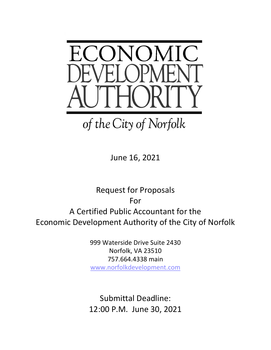

June 16, 2021

Request for Proposals For A Certified Public Accountant for the Economic Development Authority of the City of Norfolk

> 999 Waterside Drive Suite 2430 Norfolk, VA 23510 757.664.4338 main [www.norfolkdevelopment.com](http://www.norfolkdevelopment.com/)

Submittal Deadline: 12:00 P.M. June 30, 2021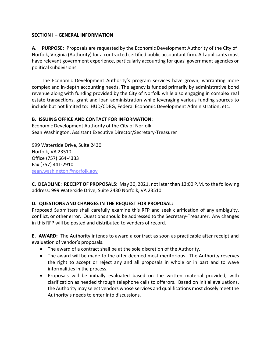#### **SECTION I – GENERAL INFORMATION**

**A. PURPOSE:** Proposals are requested by the Economic Development Authority of the City of Norfolk, Virginia (Authority) for a contracted certified public accountant firm. All applicants must have relevant government experience, particularly accounting for quasi government agencies or political subdivisions.

The Economic Development Authority's program services have grown, warranting more complex and in-depth accounting needs. The agency is funded primarily by administrative bond revenue along with funding provided by the City of Norfolk while also engaging in complex real estate transactions, grant and loan administration while leveraging various funding sources to include but not limited to: HUD/CDBG, Federal Economic Development Administration, etc.

# **B. ISSUING OFFICE AND CONTACT FOR INFORMATION:**

Economic Development Authority of the City of Norfolk Sean Washington, Assistant Executive Director/Secretary-Treasurer

999 Waterside Drive, Suite 2430 Norfolk, VA 23510 Office (757) 664-4333 Fax (757) 441-2910 [sean.washington@norfolk.gov](mailto:sean.washington@norfolk.gov)

**C. DEADLINE: RECEIPT OF PROPOSALS:** May 30, 2021, not later than 12:00 P.M. to the following address: 999 Waterside Drive, Suite 2430 Norfolk, VA 23510

# **D. QUESTIONS AND CHANGES IN THE REQUEST FOR PROPOSAL:**

Proposed Submitters shall carefully examine this RFP and seek clarification of any ambiguity, conflict, or other error. Questions should be addressed to the Secretary-Treasurer. Any changes in this RFP will be posted and distributed to venders of record.

**E. AWARD:** The Authority intends to award a contract as soon as practicable after receipt and evaluation of vendor's proposals.

- The award of a contract shall be at the sole discretion of the Authority.
- The award will be made to the offer deemed most meritorious. The Authority reserves the right to accept or reject any and all proposals in whole or in part and to wave informalities in the process.
- Proposals will be initially evaluated based on the written material provided, with clarification as needed through telephone calls to offerors. Based on initial evaluations, the Authority may select vendors whose services and qualifications most closely meet the Authority's needs to enter into discussions.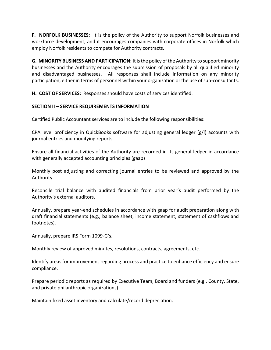**F. NORFOLK BUSINESSES:** It is the policy of the Authority to support Norfolk businesses and workforce development, and it encourages companies with corporate offices in Norfolk which employ Norfolk residents to compete for Authority contracts.

**G. MINORITY BUSINESS AND PARTICIPATION:** It is the policy of the Authority to support minority businesses and the Authority encourages the submission of proposals by all qualified minority and disadvantaged businesses. All responses shall include information on any minority participation, either in terms of personnel within your organization or the use of sub-consultants.

**H. COST OF SERVICES:** Responses should have costs of services identified.

# **SECTION II – SERVICE REQUIREMENTS INFORMATION**

Certified Public Accountant services are to include the following responsibilities:

CPA level proficiency in QuickBooks software for adjusting general ledger (g/l) accounts with journal entries and modifying reports.

Ensure all financial activities of the Authority are recorded in its general ledger in accordance with generally accepted accounting principles (gaap)

Monthly post adjusting and correcting journal entries to be reviewed and approved by the Authority.

Reconcile trial balance with audited financials from prior year's audit performed by the Authority's external auditors.

Annually, prepare year-end schedules in accordance with gaap for audit preparation along with draft financial statements (e.g., balance sheet, income statement, statement of cashflows and footnotes).

Annually, prepare IRS Form 1099-G's.

Monthly review of approved minutes, resolutions, contracts, agreements, etc.

Identify areas for improvement regarding process and practice to enhance efficiency and ensure compliance.

Prepare periodic reports as required by Executive Team, Board and funders (e.g., County, State, and private philanthropic organizations).

Maintain fixed asset inventory and calculate/record depreciation.